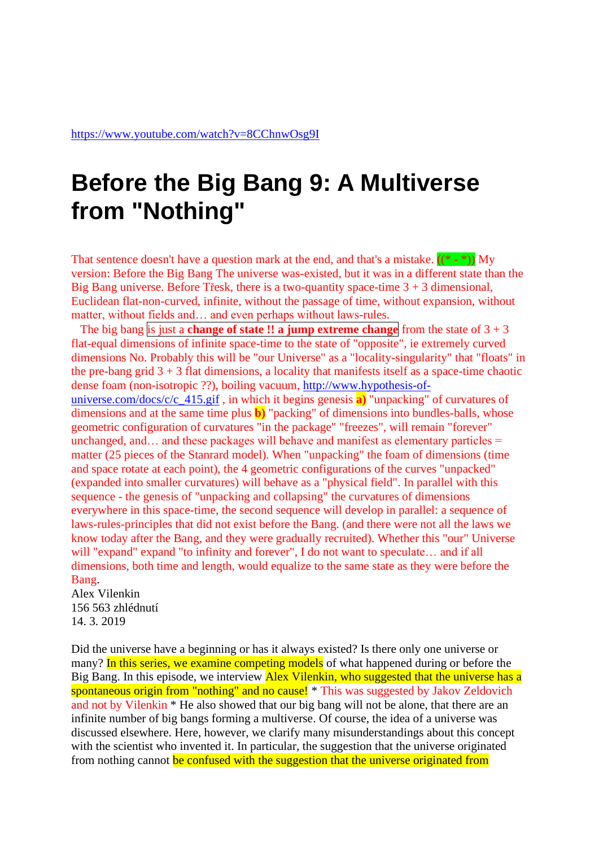## **Before the Big Bang 9: A Multiverse from "Nothing"**

That sentence doesn't have a question mark at the end, and that's a mistake.  $((*)$ version: Before the Big Bang The universe was-existed, but it was in a different state than the Big Bang universe. Before Tresk, there is a two-quantity space-time  $3 + 3$  dimensional, Euclidean flat-non-curved, infinite, without the passage of time, without expansion, without matter, without fields and… and even perhaps without laws-rules.

The big bang is just a **change** of **state !! a jump extreme change** from the state of  $3 + 3$ flat-equal dimensions of infinite space-time to the state of "opposite", ie extremely curved dimensions No. Probably this will be "our Universe" as a "locality-singularity" that "floats" in the pre-bang grid  $3 + 3$  flat dimensions, a locality that manifests itself as a space-time chaotic dense foam (non-isotropic ??), boiling vacuum, [http://www.hypothesis-of](http://www.hypothesis-of-universe.com/docs/c/c_415.gif)[universe.com/docs/c/c\\_415.gif](http://www.hypothesis-of-universe.com/docs/c/c_415.gif) , in which it begins genesis **a)** "unpacking" of curvatures of dimensions and at the same time plus **b)** "packing" of dimensions into bundles-balls, whose geometric configuration of curvatures "in the package" "freezes", will remain "forever" unchanged, and  $\ldots$  and these packages will behave and manifest as elementary particles  $=$ matter (25 pieces of the Stanrard model). When "unpacking" the foam of dimensions (time and space rotate at each point), the 4 geometric configurations of the curves "unpacked" (expanded into smaller curvatures) will behave as a "physical field". In parallel with this sequence - the genesis of "unpacking and collapsing" the curvatures of dimensions everywhere in this space-time, the second sequence will develop in parallel: a sequence of laws-rules-principles that did not exist before the Bang. (and there were not all the laws we know today after the Bang, and they were gradually recruited). Whether this "our" Universe will "expand" expand "to infinity and forever", I do not want to speculate… and if all dimensions, both time and length, would equalize to the same state as they were before the Bang.

Alex Vilenkin 156 563 zhlédnutí 14. 3. 2019

Did the universe have a beginning or has it always existed? Is there only one universe or many? In this series, we examine competing models of what happened during or before the Big Bang. In this episode, we interview Alex Vilenkin, who suggested that the universe has a spontaneous origin from "nothing" and no cause! \* This was suggested by Jakov Zeldovich and not by Vilenkin \* He also showed that our big bang will not be alone, that there are an infinite number of big bangs forming a multiverse. Of course, the idea of a universe was discussed elsewhere. Here, however, we clarify many misunderstandings about this concept with the scientist who invented it. In particular, the suggestion that the universe originated from nothing cannot be confused with the suggestion that the universe originated from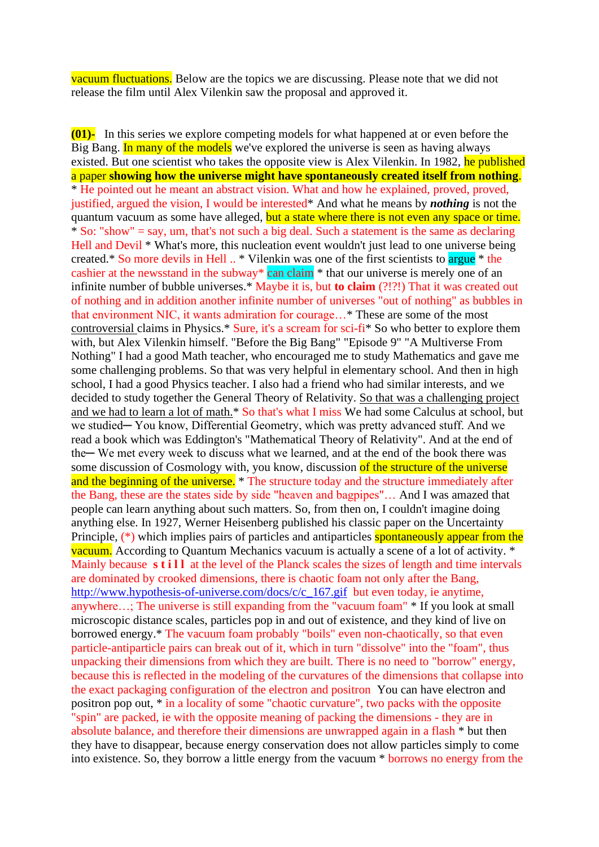vacuum fluctuations. Below are the topics we are discussing. Please note that we did not release the film until Alex Vilenkin saw the proposal and approved it.

**(01)-** In this series we explore competing models for what happened at or even before the Big Bang. In many of the models we've explored the universe is seen as having always existed. But one scientist who takes the opposite view is Alex Vilenkin. In 1982, he published a paper **showing how the universe might have spontaneously created itself from nothing**. \* He pointed out he meant an abstract vision. What and how he explained, proved, proved, justified, argued the vision, I would be interested\* And what he means by *nothing* is not the quantum vacuum as some have alleged, but a state where there is not even any space or time.  $*$  So: "show" = say, um, that's not such a big deal. Such a statement is the same as declaring Hell and Devil  $*$  What's more, this nucleation event wouldn't just lead to one universe being created.\* So more devils in Hell .. \* Vilenkin was one of the first scientists to argue \* the cashier at the newsstand in the subway<sup>\*</sup> can claim  $*$  that our universe is merely one of an infinite number of bubble universes.\* Maybe it is, but **to claim** (?!?!) That it was created out of nothing and in addition another infinite number of universes "out of nothing" as bubbles in that environment NIC, it wants admiration for courage…\* These are some of the most controversial claims in Physics.\* Sure, it's a scream for sci-fi\* So who better to explore them with, but Alex Vilenkin himself. "Before the Big Bang" "Episode 9" "A Multiverse From Nothing" I had a good Math teacher, who encouraged me to study Mathematics and gave me some challenging problems. So that was very helpful in elementary school. And then in high school, I had a good Physics teacher. I also had a friend who had similar interests, and we decided to study together the General Theory of Relativity. So that was a challenging project and we had to learn a lot of math.\* So that's what I miss We had some Calculus at school, but we studied— You know, Differential Geometry, which was pretty advanced stuff. And we read a book which was Eddington's "Mathematical Theory of Relativity". And at the end of the— We met every week to discuss what we learned, and at the end of the book there was some discussion of Cosmology with, you know, discussion of the structure of the universe and the beginning of the universe. \* The structure today and the structure immediately after the Bang, these are the states side by side "heaven and bagpipes"… And I was amazed that people can learn anything about such matters. So, from then on, I couldn't imagine doing anything else. In 1927, Werner Heisenberg published his classic paper on the Uncertainty Principle, (\*) which implies pairs of particles and antiparticles spontaneously appear from the vacuum. According to Quantum Mechanics vacuum is actually a scene of a lot of activity. \* Mainly because **s t i l l** at the level of the Planck scales the sizes of length and time intervals are dominated by crooked dimensions, there is chaotic foam not only after the Bang, [http://www.hypothesis-of-universe.com/docs/c/c\\_167.gif](http://www.hypothesis-of-universe.com/docs/c/c_167.gif) but even today, ie anytime, anywhere…; The universe is still expanding from the "vacuum foam" \* If you look at small microscopic distance scales, particles pop in and out of existence, and they kind of live on borrowed energy.\* The vacuum foam probably "boils" even non-chaotically, so that even particle-antiparticle pairs can break out of it, which in turn "dissolve" into the "foam", thus unpacking their dimensions from which they are built. There is no need to "borrow" energy, because this is reflected in the modeling of the curvatures of the dimensions that collapse into the exact packaging configuration of the electron and positron You can have electron and positron pop out, \* in a locality of some "chaotic curvature", two packs with the opposite "spin" are packed, ie with the opposite meaning of packing the dimensions - they are in absolute balance, and therefore their dimensions are unwrapped again in a flash \* but then they have to disappear, because energy conservation does not allow particles simply to come into existence. So, they borrow a little energy from the vacuum \* borrows no energy from the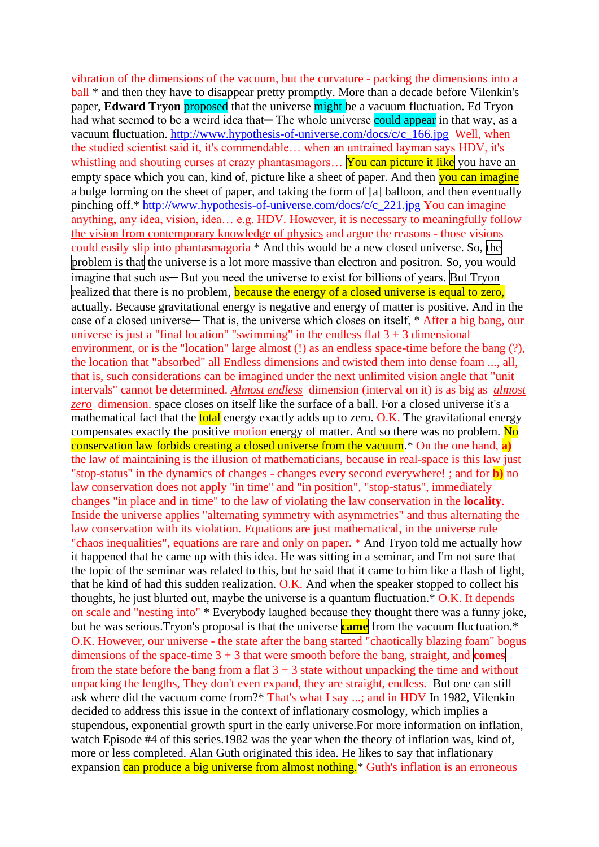vibration of the dimensions of the vacuum, but the curvature - packing the dimensions into a ball  $*$  and then they have to disappear pretty promptly. More than a decade before Vilenkin's paper, **Edward Tryon** proposed that the universe might be a vacuum fluctuation. Ed Tryon had what seemed to be a weird idea that— The whole universe could appear in that way, as a vacuum fluctuation. [http://www.hypothesis-of-universe.com/docs/c/c\\_166.jpg](http://www.hypothesis-of-universe.com/docs/c/c_166.jpg) Well, when the studied scientist said it, it's commendable… when an untrained layman says HDV, it's whistling and shouting curses at crazy phantasmagors... You can picture it like you have an empty space which you can, kind of, picture like a sheet of paper. And then **you can imagine** a bulge forming on the sheet of paper, and taking the form of [a] balloon, and then eventually pinching off.\* [http://www.hypothesis-of-universe.com/docs/c/c\\_221.jpg](http://www.hypothesis-of-universe.com/docs/c/c_221.jpg) You can imagine anything, any idea, vision, idea… e.g. HDV. However, it is necessary to meaningfully follow the vision from contemporary knowledge of physics and argue the reasons - those visions could easily slip into phantasmagoria \* And this would be a new closed universe. So, the problem is that the universe is a lot more massive than electron and positron. So, you would imagine that such as — But you need the universe to exist for billions of years. But Tryon realized that there is no problem, because the energy of a closed universe is equal to zero, actually. Because gravitational energy is negative and energy of matter is positive. And in the case of a closed universe— That is, the universe which closes on itself, \* After a big bang, our universe is just a "final location" "swimming" in the endless flat  $3 + 3$  dimensional environment, or is the "location" large almost (!) as an endless space-time before the bang (?), the location that "absorbed" all Endless dimensions and twisted them into dense foam ..., all, that is, such considerations can be imagined under the next unlimited vision angle that "unit intervals" cannot be determined. *Almost endless* dimension (interval on it) is as big as *almost zero* dimension. space closes on itself like the surface of a ball. For a closed universe it's a mathematical fact that the **total** energy exactly adds up to zero. O.K. The gravitational energy compensates exactly the positive motion energy of matter. And so there was no problem.  $\overline{No}$ conservation law forbids creating a closed universe from the vacuum.\* On the one hand, **a)** the law of maintaining is the illusion of mathematicians, because in real-space is this law just "stop-status" in the dynamics of changes - changes every second everywhere! ; and for **b)** no law conservation does not apply "in time" and "in position", "stop-status", immediately changes "in place and in time" to the law of violating the law conservation in the **locality**. Inside the universe applies "alternating symmetry with asymmetries" and thus alternating the law conservation with its violation. Equations are just mathematical, in the universe rule "chaos inequalities", equations are rare and only on paper. \* And Tryon told me actually how it happened that he came up with this idea. He was sitting in a seminar, and I'm not sure that the topic of the seminar was related to this, but he said that it came to him like a flash of light, that he kind of had this sudden realization. O.K. And when the speaker stopped to collect his thoughts, he just blurted out, maybe the universe is a quantum fluctuation.\* O.K. It depends on scale and "nesting into" \* Everybody laughed because they thought there was a funny joke, but he was serious.Tryon's proposal is that the universe **came** from the vacuum fluctuation.\* O.K. However, our universe - the state after the bang started "chaotically blazing foam" bogus dimensions of the space-time 3 + 3 that were smooth before the bang, straight, and **comes** from the state before the bang from a flat  $3 + 3$  state without unpacking the time and without unpacking the lengths, They don't even expand, they are straight, endless. But one can still ask where did the vacuum come from?\* That's what I say ...; and in HDV In 1982, Vilenkin decided to address this issue in the context of inflationary cosmology, which implies a stupendous, exponential growth spurt in the early universe.For more information on inflation, watch Episode #4 of this series.1982 was the year when the theory of inflation was, kind of, more or less completed. Alan Guth originated this idea. He likes to say that inflationary expansion can produce a big universe from almost nothing.<sup>\*</sup> Guth's inflation is an erroneous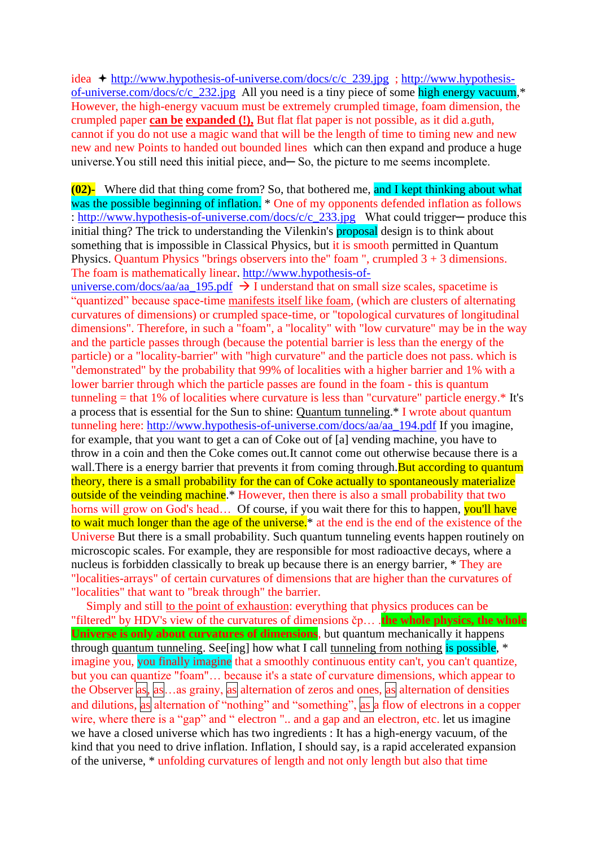idea  $\div$  [http://www.hypothesis-of-universe.com/docs/c/c\\_239.jpg](http://www.hypothesis-of-universe.com/docs/c/c_239.jpg) ; [http://www.hypothesis](http://www.hypothesis-of-universe.com/docs/c/c_232.jpg)[of-universe.com/docs/c/c\\_232.jpg](http://www.hypothesis-of-universe.com/docs/c/c_232.jpg) All you need is a tiny piece of some high energy vacuum,\* However, the high-energy vacuum must be extremely crumpled timage, foam dimension, the crumpled paper **can be expanded (!),** But flat flat paper is not possible, as it did a.guth, cannot if you do not use a magic wand that will be the length of time to timing new and new new and new Points to handed out bounded lines which can then expand and produce a huge universe. You still need this initial piece, and—So, the picture to me seems incomplete.

**(02)-** Where did that thing come from? So, that bothered me, and I kept thinking about what was the possible beginning of inflation. \* One of my opponents defended inflation as follows : [http://www.hypothesis-of-universe.com/docs/c/c\\_233.jpg](http://www.hypothesis-of-universe.com/docs/c/c_233.jpg) What could trigger─ produce this initial thing? The trick to understanding the Vilenkin's proposal design is to think about something that is impossible in Classical Physics, but it is smooth permitted in Quantum Physics. Quantum Physics "brings observers into the" foam ", crumpled 3 + 3 dimensions. The foam is mathematically linear. [http://www.hypothesis-of-](http://www.hypothesis-of-universe.com/docs/aa/aa_195.pdf)

[universe.com/docs/aa/aa\\_195.pdf](http://www.hypothesis-of-universe.com/docs/aa/aa_195.pdf)  $\rightarrow$  I understand that on small size scales, spacetime is "quantized" because space-time manifests itself like foam, (which are clusters of alternating curvatures of dimensions) or crumpled space-time, or "topological curvatures of longitudinal dimensions". Therefore, in such a "foam", a "locality" with "low curvature" may be in the way and the particle passes through (because the potential barrier is less than the energy of the particle) or a "locality-barrier" with "high curvature" and the particle does not pass. which is "demonstrated" by the probability that 99% of localities with a higher barrier and 1% with a lower barrier through which the particle passes are found in the foam - this is quantum tunneling  $=$  that 1% of localities where curvature is less than "curvature" particle energy.\* It's a process that is essential for the Sun to shine: Quantum tunneling.\* I wrote about quantum tunneling here: [http://www.hypothesis-of-universe.com/docs/aa/aa\\_194.pdf](http://www.hypothesis-of-universe.com/docs/aa/aa_194.pdf) If you imagine, for example, that you want to get a can of Coke out of [a] vending machine, you have to throw in a coin and then the Coke comes out.It cannot come out otherwise because there is a wall. There is a energy barrier that prevents it from coming through. But according to quantum theory, there is a small probability for the can of Coke actually to spontaneously materialize outside of the veinding machine<sup>\*</sup> However, then there is also a small probability that two horns will grow on God's head... Of course, if you wait there for this to happen, you'll have to wait much longer than the age of the universe.<sup>\*</sup> at the end is the end of the existence of the Universe But there is a small probability. Such quantum tunneling events happen routinely on microscopic scales. For example, they are responsible for most radioactive decays, where a nucleus is forbidden classically to break up because there is an energy barrier, \* They are "localities-arrays" of certain curvatures of dimensions that are higher than the curvatures of "localities" that want to "break through" the barrier.

 Simply and still to the point of exhaustion: everything that physics produces can be "filtered" by HDV's view of the curvatures of dimensions čp… .**the whole physics, the whole Universe is only about curvatures of dimensions**, but quantum mechanically it happens through quantum tunneling. See [ing] how what I call tunneling from nothing is possible,  $*$ imagine you, you finally imagine that a smoothly continuous entity can't, you can't quantize, but you can quantize "foam"… because it's a state of curvature dimensions, which appear to the Observer as,  $\alpha$ s,  $\alpha$ s,  $\alpha$ s grainy,  $\alpha$ s alternation of zeros and ones,  $\alpha$ s alternation of densities and dilutions, as alternation of "nothing" and "something", as a flow of electrons in a copper wire, where there is a "gap" and " electron ".. and a gap and an electron, etc. let us imagine we have a closed universe which has two ingredients : It has a high-energy vacuum, of the kind that you need to drive inflation. Inflation, I should say, is a rapid accelerated expansion of the universe, \* unfolding curvatures of length and not only length but also that time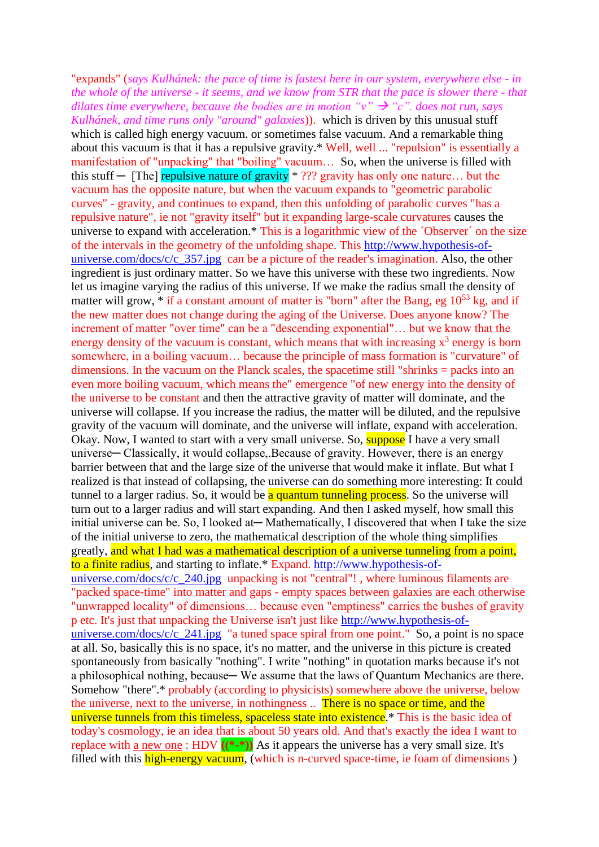"expands" (*says Kulhánek: the pace of time is fastest here in our system, everywhere else - in the whole of the universe - it seems, and we know from STR that the pace is slower there - that dilates time everywhere, because the bodies are in motion "v"*  $\rightarrow$  "c". *does not run, says Kulhánek, and time runs only "around" galaxies*)). which is driven by this unusual stuff which is called high energy vacuum. or sometimes false vacuum. And a remarkable thing about this vacuum is that it has a repulsive gravity.\* Well, well ... "repulsion" is essentially a manifestation of "unpacking" that "boiling" vacuum… So, when the universe is filled with this stuff  $-$  [The] repulsive nature of gravity  $*$  ??? gravity has only one nature... but the vacuum has the opposite nature, but when the vacuum expands to "geometric parabolic curves" - gravity, and continues to expand, then this unfolding of parabolic curves "has a repulsive nature", ie not "gravity itself" but it expanding large-scale curvatures causes the universe to expand with acceleration.\* This is a logarithmic view of the ´Observer´ on the size of the intervals in the geometry of the unfolding shape. This [http://www.hypothesis-of](http://www.hypothesis-of-universe.com/docs/c/c_357.jpg)universe.com/docs/c/c $\frac{357}{\text{ips}}$  can be a picture of the reader's imagination. Also, the other ingredient is just ordinary matter. So we have this universe with these two ingredients. Now let us imagine varying the radius of this universe. If we make the radius small the density of matter will grow,  $*$  if a constant amount of matter is "born" after the Bang, eg  $10^{53}$  kg, and if the new matter does not change during the aging of the Universe. Does anyone know? The increment of matter "over time" can be a "descending exponential"… but we know that the energy density of the vacuum is constant, which means that with increasing  $x^3$  energy is born somewhere, in a boiling vacuum… because the principle of mass formation is "curvature" of dimensions. In the vacuum on the Planck scales, the spacetime still "shrinks  $=$  packs into an even more boiling vacuum, which means the" emergence "of new energy into the density of the universe to be constant and then the attractive gravity of matter will dominate, and the universe will collapse. If you increase the radius, the matter will be diluted, and the repulsive gravity of the vacuum will dominate, and the universe will inflate, expand with acceleration. Okay. Now, I wanted to start with a very small universe. So, **suppose** I have a very small universe— Classically, it would collapse, Because of gravity. However, there is an energy barrier between that and the large size of the universe that would make it inflate. But what I realized is that instead of collapsing, the universe can do something more interesting: It could tunnel to a larger radius. So, it would be a quantum tunneling process. So the universe will turn out to a larger radius and will start expanding. And then I asked myself, how small this initial universe can be. So, I looked at — Mathematically, I discovered that when I take the size of the initial universe to zero, the mathematical description of the whole thing simplifies greatly, and what I had was a mathematical description of a universe tunneling from a point, to a finite radius, and starting to inflate.\* Expand. [http://www.hypothesis-of](http://www.hypothesis-of-universe.com/docs/c/c_240.jpg)universe.com/ $\frac{d\cos\left(\frac{c}{c}\right)}{240.$ jpg unpacking is not "central"!, where luminous filaments are "packed space-time" into matter and gaps - empty spaces between galaxies are each otherwise "unwrapped locality" of dimensions… because even "emptiness" carries the bushes of gravity p etc. It's just that unpacking the Universe isn't just like [http://www.hypothesis-of](http://www.hypothesis-of-universe.com/docs/c/c_241.jpg)[universe.com/docs/c/c\\_241.jpg](http://www.hypothesis-of-universe.com/docs/c/c_241.jpg) "a tuned space spiral from one point." So, a point is no space at all. So, basically this is no space, it's no matter, and the universe in this picture is created spontaneously from basically "nothing". I write "nothing" in quotation marks because it's not a philosophical nothing, because— We assume that the laws of Quantum Mechanics are there. Somehow "there".\* probably (according to physicists) somewhere above the universe, below the universe, next to the universe, in nothingness .. There is no space or time, and the universe tunnels from this timeless, spaceless state into existence.<sup>\*</sup> This is the basic idea of today's cosmology, ie an idea that is about 50 years old. And that's exactly the idea I want to replace with <u>a new one</u> : HDV  $((\ast - \ast))$  As it appears the universe has a very small size. It's filled with this high-energy vacuum, (which is n-curved space-time, ie foam of dimensions)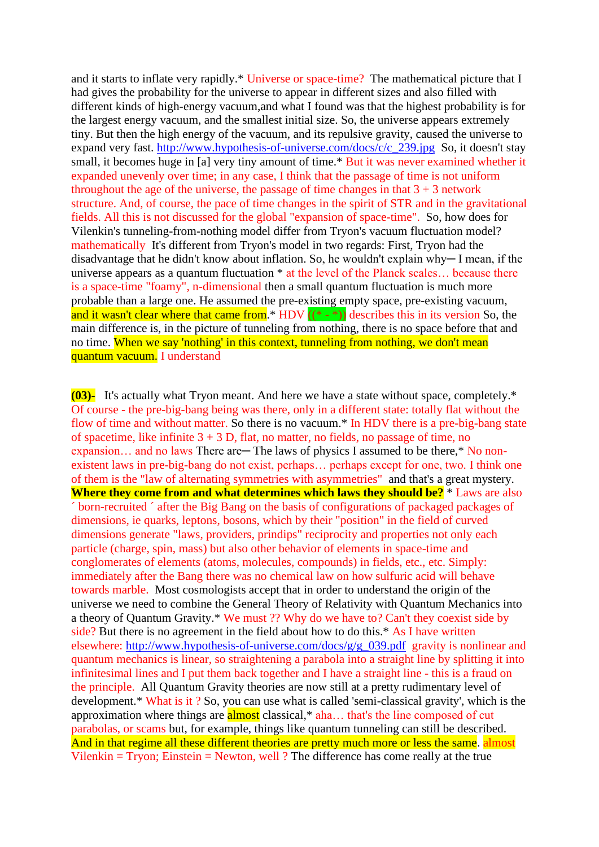and it starts to inflate very rapidly.\* Universe or space-time? The mathematical picture that I had gives the probability for the universe to appear in different sizes and also filled with different kinds of high-energy vacuum,and what I found was that the highest probability is for the largest energy vacuum, and the smallest initial size. So, the universe appears extremely tiny. But then the high energy of the vacuum, and its repulsive gravity, caused the universe to expand very fast. [http://www.hypothesis-of-universe.com/docs/c/c\\_239.jpg](http://www.hypothesis-of-universe.com/docs/c/c_239.jpg) So, it doesn't stay small, it becomes huge in [a] very tiny amount of time.\* But it was never examined whether it expanded unevenly over time; in any case, I think that the passage of time is not uniform throughout the age of the universe, the passage of time changes in that  $3 + 3$  network structure. And, of course, the pace of time changes in the spirit of STR and in the gravitational fields. All this is not discussed for the global "expansion of space-time". So, how does for Vilenkin's tunneling-from-nothing model differ from Tryon's vacuum fluctuation model? mathematically It's different from Tryon's model in two regards: First, Tryon had the disadvantage that he didn't know about inflation. So, he wouldn't explain why─ I mean, if the universe appears as a quantum fluctuation \* at the level of the Planck scales… because there is a space-time "foamy", n-dimensional then a small quantum fluctuation is much more probable than a large one. He assumed the pre-existing empty space, pre-existing vacuum, and it wasn't clear where that came from.<sup>\*</sup> HDV  $((* - *)$  describes this in its version So, the main difference is, in the picture of tunneling from nothing, there is no space before that and no time. When we say 'nothing' in this context, tunneling from nothing, we don't mean quantum vacuum. I understand

**(03)-** It's actually what Tryon meant. And here we have a state without space, completely.\* Of course - the pre-big-bang being was there, only in a different state: totally flat without the flow of time and without matter. So there is no vacuum.<sup>\*</sup> In HDV there is a pre-big-bang state of spacetime, like infinite  $3 + 3$  D, flat, no matter, no fields, no passage of time, no expansion… and no laws There are— The laws of physics I assumed to be there,\* No nonexistent laws in pre-big-bang do not exist, perhaps… perhaps except for one, two. I think one of them is the "law of alternating symmetries with asymmetries" and that's a great mystery. **Where they come from and what determines which laws they should be?** \* Laws are also ´ born-recruited ´ after the Big Bang on the basis of configurations of packaged packages of dimensions, ie quarks, leptons, bosons, which by their "position" in the field of curved dimensions generate "laws, providers, prindips" reciprocity and properties not only each particle (charge, spin, mass) but also other behavior of elements in space-time and conglomerates of elements (atoms, molecules, compounds) in fields, etc., etc. Simply: immediately after the Bang there was no chemical law on how sulfuric acid will behave towards marble. Most cosmologists accept that in order to understand the origin of the universe we need to combine the General Theory of Relativity with Quantum Mechanics into a theory of Quantum Gravity.\* We must ?? Why do we have to? Can't they coexist side by side? But there is no agreement in the field about how to do this.\* As I have written elsewhere: [http://www.hypothesis-of-universe.com/docs/g/g\\_039.pdf](http://www.hypothesis-of-universe.com/docs/g/g_039.pdf) gravity is nonlinear and quantum mechanics is linear, so straightening a parabola into a straight line by splitting it into infinitesimal lines and I put them back together and I have a straight line - this is a fraud on the principle. All Quantum Gravity theories are now still at a pretty rudimentary level of development.\* What is it ? So, you can use what is called 'semi-classical gravity', which is the approximation where things are **almost** classical,\* aha... that's the line composed of cut parabolas, or scams but, for example, things like quantum tunneling can still be described. And in that regime all these different theories are pretty much more or less the same. almost  $Vilenkin = Tryon$ ; Einstein = Newton, well ? The difference has come really at the true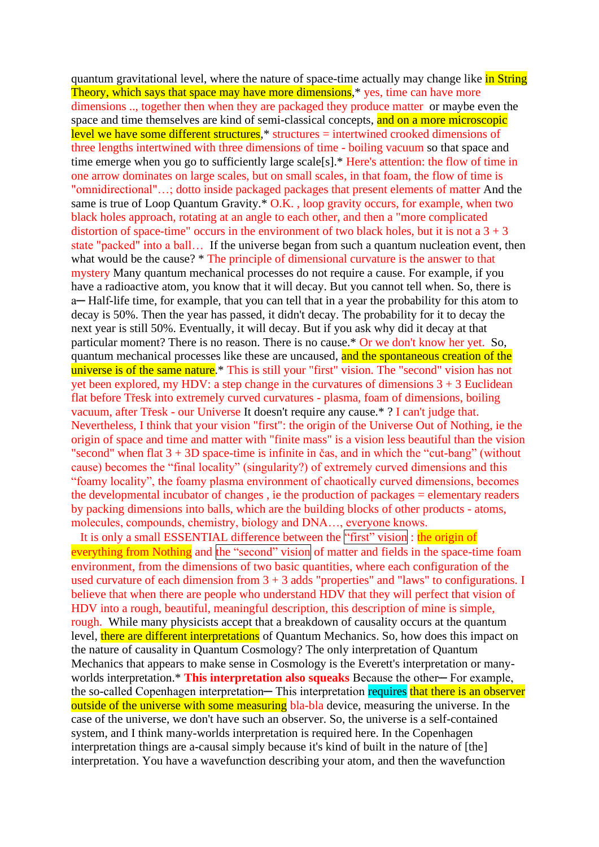quantum gravitational level, where the nature of space-time actually may change like in String Theory, which says that space may have more dimensions,\* yes, time can have more dimensions .., together then when they are packaged they produce matter or maybe even the space and time themselves are kind of semi-classical concepts, and on a more microscopic level we have some different structures,\* structures = intertwined crooked dimensions of three lengths intertwined with three dimensions of time - boiling vacuum so that space and time emerge when you go to sufficiently large scale[s].\* Here's attention: the flow of time in one arrow dominates on large scales, but on small scales, in that foam, the flow of time is "omnidirectional"…; dotto inside packaged packages that present elements of matter And the same is true of Loop Quantum Gravity. $*$  O.K., loop gravity occurs, for example, when two black holes approach, rotating at an angle to each other, and then a "more complicated distortion of space-time" occurs in the environment of two black holes, but it is not a  $3 + 3$ state "packed" into a ball… If the universe began from such a quantum nucleation event, then what would be the cause? \* The principle of dimensional curvature is the answer to that mystery Many quantum mechanical processes do not require a cause. For example, if you have a radioactive atom, you know that it will decay. But you cannot tell when. So, there is a─ Half-life time, for example, that you can tell that in a year the probability for this atom to decay is 50%. Then the year has passed, it didn't decay. The probability for it to decay the next year is still 50%. Eventually, it will decay. But if you ask why did it decay at that particular moment? There is no reason. There is no cause.\* Or we don't know her yet. So, quantum mechanical processes like these are uncaused, and the spontaneous creation of the universe is of the same nature.<sup>\*</sup> This is still your "first" vision. The "second" vision has not yet been explored, my HDV: a step change in the curvatures of dimensions  $3 + 3$  Euclidean flat before Třesk into extremely curved curvatures - plasma, foam of dimensions, boiling vacuum, after Třesk - our Universe It doesn't require any cause.\* ? I can't judge that. Nevertheless, I think that your vision "first": the origin of the Universe Out of Nothing, ie the origin of space and time and matter with "finite mass" is a vision less beautiful than the vision "second" when flat  $3 + 3D$  space-time is infinite in čas, and in which the "cut-bang" (without cause) becomes the "final locality" (singularity?) of extremely curved dimensions and this "foamy locality", the foamy plasma environment of chaotically curved dimensions, becomes the developmental incubator of changes , ie the production of packages = elementary readers by packing dimensions into balls, which are the building blocks of other products - atoms, molecules, compounds, chemistry, biology and DNA…, everyone knows.

It is only a small ESSENTIAL difference between the "first" vision : the origin of everything from Nothing and the "second" vision of matter and fields in the space-time foam environment, from the dimensions of two basic quantities, where each configuration of the used curvature of each dimension from  $3 + 3$  adds "properties" and "laws" to configurations. I believe that when there are people who understand HDV that they will perfect that vision of HDV into a rough, beautiful, meaningful description, this description of mine is simple, rough. While many physicists accept that a breakdown of causality occurs at the quantum level, there are different interpretations of Quantum Mechanics. So, how does this impact on the nature of causality in Quantum Cosmology? The only interpretation of Quantum Mechanics that appears to make sense in Cosmology is the Everett's interpretation or manyworlds interpretation.\* This interpretation also squeaks Because the other-For example, the so-called Copenhagen interpretation— This interpretation requires that there is an observer outside of the universe with some measuring bla-bla device, measuring the universe. In the case of the universe, we don't have such an observer. So, the universe is a self-contained system, and I think many-worlds interpretation is required here. In the Copenhagen interpretation things are a-causal simply because it's kind of built in the nature of [the] interpretation. You have a wavefunction describing your atom, and then the wavefunction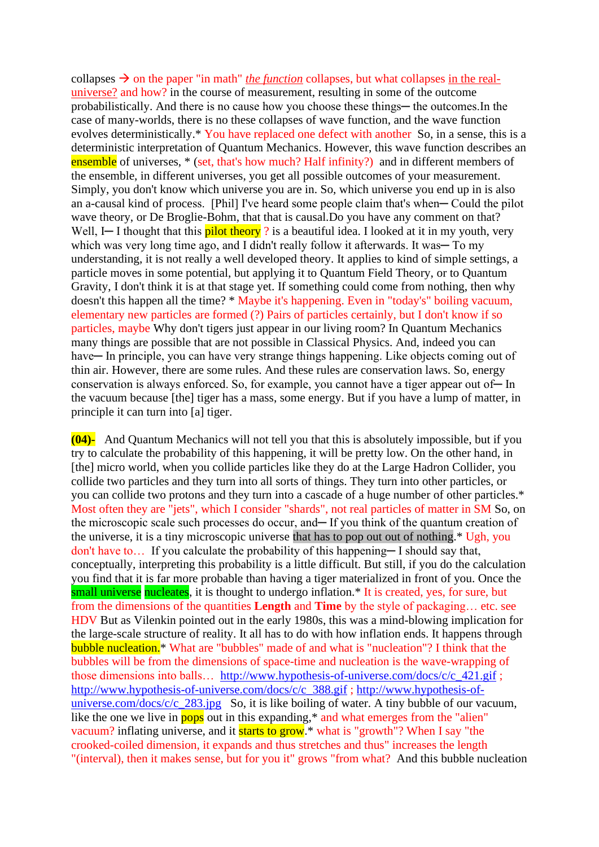collapses  $\rightarrow$  on the paper "in math" *the function* collapses, but what collapses in the realuniverse? and how? in the course of measurement, resulting in some of the outcome probabilistically. And there is no cause how you choose these things— the outcomes. In the case of many-worlds, there is no these collapses of wave function, and the wave function evolves deterministically.\* You have replaced one defect with another So, in a sense, this is a deterministic interpretation of Quantum Mechanics. However, this wave function describes an ensemble of universes, \* (set, that's how much? Half infinity?) and in different members of the ensemble, in different universes, you get all possible outcomes of your measurement. Simply, you don't know which universe you are in. So, which universe you end up in is also an a-causal kind of process. [Phil] I've heard some people claim that's when— Could the pilot wave theory, or De Broglie-Bohm, that that is causal. Do you have any comment on that? Well, I— I thought that this **pilot theory** ? is a beautiful idea. I looked at it in my youth, very which was very long time ago, and I didn't really follow it afterwards. It was - To my understanding, it is not really a well developed theory. It applies to kind of simple settings, a particle moves in some potential, but applying it to Quantum Field Theory, or to Quantum Gravity, I don't think it is at that stage yet. If something could come from nothing, then why doesn't this happen all the time? \* Maybe it's happening. Even in "today's" boiling vacuum, elementary new particles are formed (?) Pairs of particles certainly, but I don't know if so particles, maybe Why don't tigers just appear in our living room? In Quantum Mechanics many things are possible that are not possible in Classical Physics. And, indeed you can have— In principle, you can have very strange things happening. Like objects coming out of thin air. However, there are some rules. And these rules are conservation laws. So, energy conservation is always enforced. So, for example, you cannot have a tiger appear out of — In the vacuum because [the] tiger has a mass, some energy. But if you have a lump of matter, in principle it can turn into [a] tiger.

**(04)-** And Quantum Mechanics will not tell you that this is absolutely impossible, but if you try to calculate the probability of this happening, it will be pretty low. On the other hand, in [the] micro world, when you collide particles like they do at the Large Hadron Collider, you collide two particles and they turn into all sorts of things. They turn into other particles, or you can collide two protons and they turn into a cascade of a huge number of other particles.\* Most often they are "jets", which I consider "shards", not real particles of matter in SM So, on the microscopic scale such processes do occur, and − If you think of the quantum creation of the universe, it is a tiny microscopic universe that has to pop out out of nothing.\* Ugh, you don't have to… If you calculate the probability of this happening—I should say that, conceptually, interpreting this probability is a little difficult. But still, if you do the calculation you find that it is far more probable than having a tiger materialized in front of you. Once the small universe nucleates, it is thought to undergo inflation.<sup>\*</sup> It is created, ves, for sure, but from the dimensions of the quantities **Length** and **Time** by the style of packaging… etc. see HDV But as Vilenkin pointed out in the early 1980s, this was a mind-blowing implication for the large-scale structure of reality. It all has to do with how inflation ends. It happens through bubble nucleation.\* What are "bubbles" made of and what is "nucleation"? I think that the bubbles will be from the dimensions of space-time and nucleation is the wave-wrapping of those dimensions into balls… [http://www.hypothesis-of-universe.com/docs/c/c\\_421.gif](http://www.hypothesis-of-universe.com/docs/c/c_421.gif) ; [http://www.hypothesis-of-universe.com/docs/c/c\\_388.gif](http://www.hypothesis-of-universe.com/docs/c/c_388.gif) ; [http://www.hypothesis-of](http://www.hypothesis-of-universe.com/docs/c/c_283.jpg)universe.com/docs/c/c  $283.jpg$  So, it is like boiling of water. A tiny bubble of our vacuum, like the one we live in  $\frac{1}{\text{pops}}$  out in this expanding, $*$  and what emerges from the "alien" vacuum? inflating universe, and it starts to grow.\* what is "growth"? When I say "the crooked-coiled dimension, it expands and thus stretches and thus" increases the length "(interval), then it makes sense, but for you it" grows "from what? And this bubble nucleation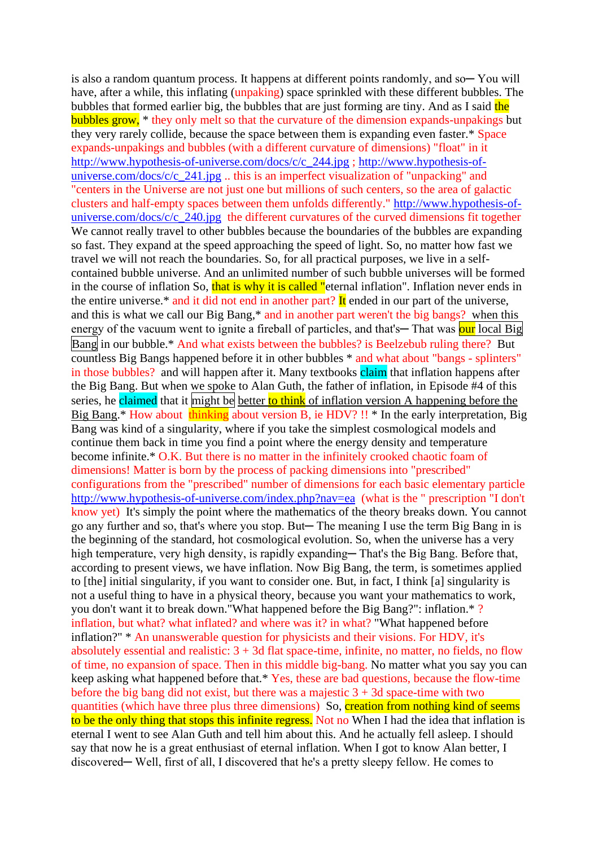is also a random quantum process. It happens at different points randomly, and so− You will have, after a while, this inflating (unpaking) space sprinkled with these different bubbles. The bubbles that formed earlier big, the bubbles that are just forming are tiny. And as I said the bubbles grow, \* they only melt so that the curvature of the dimension expands-unpakings but they very rarely collide, because the space between them is expanding even faster.\* Space expands-unpakings and bubbles (with a different curvature of dimensions) "float" in it [http://www.hypothesis-of-universe.com/docs/c/c\\_244.jpg](http://www.hypothesis-of-universe.com/docs/c/c_244.jpg) ; [http://www.hypothesis-of](http://www.hypothesis-of-universe.com/docs/c/c_241.jpg)[universe.com/docs/c/c\\_241.jpg](http://www.hypothesis-of-universe.com/docs/c/c_241.jpg) .. this is an imperfect visualization of "unpacking" and "centers in the Universe are not just one but millions of such centers, so the area of galactic clusters and half-empty spaces between them unfolds differently." [http://www.hypothesis-of](http://www.hypothesis-of-universe.com/docs/c/c_240.jpg)universe.com/docs/c/c  $240$ .jpg the different curvatures of the curved dimensions fit together We cannot really travel to other bubbles because the boundaries of the bubbles are expanding so fast. They expand at the speed approaching the speed of light. So, no matter how fast we travel we will not reach the boundaries. So, for all practical purposes, we live in a selfcontained bubble universe. And an unlimited number of such bubble universes will be formed in the course of inflation So, that is why it is called "eternal inflation". Inflation never ends in the entire universe.\* and it did not end in another part? It ended in our part of the universe, and this is what we call our Big Bang,\* and in another part weren't the big bangs? when this energy of the vacuum went to ignite a fireball of particles, and that's—That was our local Big Bang in our bubble.\* And what exists between the bubbles? is Beelzebub ruling there? But countless Big Bangs happened before it in other bubbles \* and what about "bangs - splinters" in those bubbles? and will happen after it. Many textbooks claim that inflation happens after the Big Bang. But when we spoke to Alan Guth, the father of inflation, in Episode #4 of this series, he claimed that it might be better to think of inflation version A happening before the Big Bang.<sup>\*</sup> How about thinking about version B, ie HDV? !! \* In the early interpretation, Big Bang was kind of a singularity, where if you take the simplest cosmological models and continue them back in time you find a point where the energy density and temperature become infinite.\* O.K. But there is no matter in the infinitely crooked chaotic foam of dimensions! Matter is born by the process of packing dimensions into "prescribed" configurations from the "prescribed" number of dimensions for each basic elementary particle <http://www.hypothesis-of-universe.com/index.php?nav=ea>(what is the " prescription "I don't know yet) It's simply the point where the mathematics of the theory breaks down. You cannot go any further and so, that's where you stop. But─ The meaning I use the term Big Bang in is the beginning of the standard, hot cosmological evolution. So, when the universe has a very high temperature, very high density, is rapidly expanding—That's the Big Bang. Before that, according to present views, we have inflation. Now Big Bang, the term, is sometimes applied to [the] initial singularity, if you want to consider one. But, in fact, I think [a] singularity is not a useful thing to have in a physical theory, because you want your mathematics to work, you don't want it to break down."What happened before the Big Bang?": inflation.\* ? inflation, but what? what inflated? and where was it? in what? "What happened before inflation?" \* An unanswerable question for physicists and their visions. For HDV, it's absolutely essential and realistic:  $3 + 3d$  flat space-time, infinite, no matter, no fields, no flow of time, no expansion of space. Then in this middle big-bang. No matter what you say you can keep asking what happened before that.\* Yes, these are bad questions, because the flow-time before the big bang did not exist, but there was a majestic  $3 + 3d$  space-time with two quantities (which have three plus three dimensions) So, creation from nothing kind of seems to be the only thing that stops this infinite regress. Not no When I had the idea that inflation is eternal I went to see Alan Guth and tell him about this. And he actually fell asleep. I should say that now he is a great enthusiast of eternal inflation. When I got to know Alan better, I discovered─ Well, first of all, I discovered that he's a pretty sleepy fellow. He comes to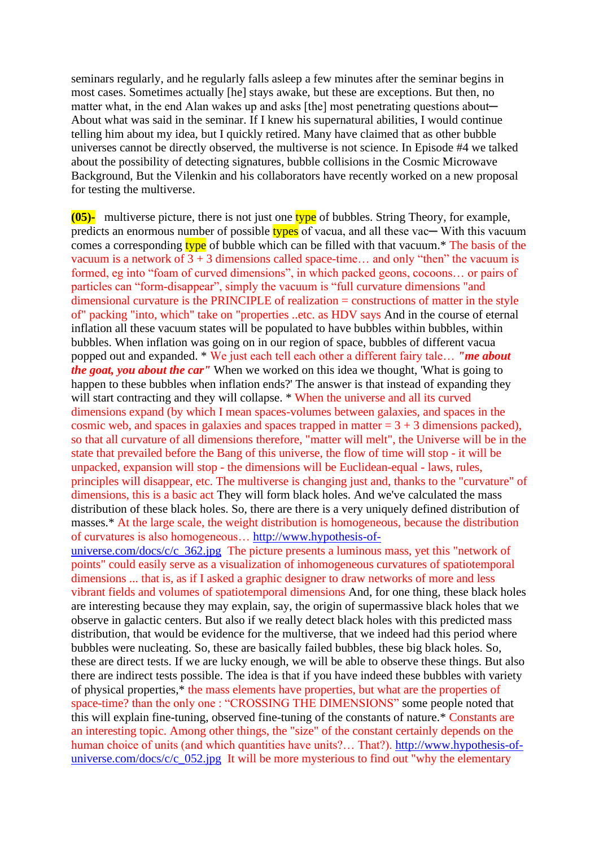seminars regularly, and he regularly falls asleep a few minutes after the seminar begins in most cases. Sometimes actually [he] stays awake, but these are exceptions. But then, no matter what, in the end Alan wakes up and asks [the] most penetrating questions about— About what was said in the seminar. If I knew his supernatural abilities, I would continue telling him about my idea, but I quickly retired. Many have claimed that as other bubble universes cannot be directly observed, the multiverse is not science. In Episode #4 we talked about the possibility of detecting signatures, bubble collisions in the Cosmic Microwave Background, But the Vilenkin and his collaborators have recently worked on a new proposal for testing the multiverse.

**(05)-** multiverse picture, there is not just one type of bubbles. String Theory, for example, predicts an enormous number of possible types of vacua, and all these vac— With this vacuum comes a corresponding type of bubble which can be filled with that vacuum.<sup>\*</sup> The basis of the vacuum is a network of  $3 + 3$  dimensions called space-time... and only "then" the vacuum is formed, eg into "foam of curved dimensions", in which packed geons, cocoons… or pairs of particles can "form-disappear", simply the vacuum is "full curvature dimensions "and dimensional curvature is the PRINCIPLE of realization = constructions of matter in the style of" packing "into, which" take on "properties ..etc. as HDV says And in the course of eternal inflation all these vacuum states will be populated to have bubbles within bubbles, within bubbles. When inflation was going on in our region of space, bubbles of different vacua popped out and expanded. \* We just each tell each other a different fairy tale… *"me about the goat, you about the car"* When we worked on this idea we thought, 'What is going to happen to these bubbles when inflation ends?' The answer is that instead of expanding they will start contracting and they will collapse. \* When the universe and all its curved dimensions expand (by which I mean spaces-volumes between galaxies, and spaces in the cosmic web, and spaces in galaxies and spaces trapped in matter  $= 3 + 3$  dimensions packed), so that all curvature of all dimensions therefore, "matter will melt", the Universe will be in the state that prevailed before the Bang of this universe, the flow of time will stop - it will be unpacked, expansion will stop - the dimensions will be Euclidean-equal - laws, rules, principles will disappear, etc. The multiverse is changing just and, thanks to the "curvature" of dimensions, this is a basic act They will form black holes. And we've calculated the mass distribution of these black holes. So, there are there is a very uniquely defined distribution of masses.\* At the large scale, the weight distribution is homogeneous, because the distribution of curvatures is also homogeneous… [http://www.hypothesis-of](http://www.hypothesis-of-universe.com/docs/c/c_362.jpg)[universe.com/docs/c/c\\_362.jpg](http://www.hypothesis-of-universe.com/docs/c/c_362.jpg) The picture presents a luminous mass, yet this "network of points" could easily serve as a visualization of inhomogeneous curvatures of spatiotemporal dimensions ... that is, as if I asked a graphic designer to draw networks of more and less vibrant fields and volumes of spatiotemporal dimensions And, for one thing, these black holes

are interesting because they may explain, say, the origin of supermassive black holes that we observe in galactic centers. But also if we really detect black holes with this predicted mass distribution, that would be evidence for the multiverse, that we indeed had this period where bubbles were nucleating. So, these are basically failed bubbles, these big black holes. So, these are direct tests. If we are lucky enough, we will be able to observe these things. But also there are indirect tests possible. The idea is that if you have indeed these bubbles with variety of physical properties,\* the mass elements have properties, but what are the properties of space-time? than the only one : "CROSSING THE DIMENSIONS" some people noted that this will explain fine-tuning, observed fine-tuning of the constants of nature.\* Constants are an interesting topic. Among other things, the "size" of the constant certainly depends on the human choice of units (and which quantities have units?… That?). [http://www.hypothesis-of](http://www.hypothesis-of-universe.com/docs/c/c_052.jpg)[universe.com/docs/c/c\\_052.jpg](http://www.hypothesis-of-universe.com/docs/c/c_052.jpg) It will be more mysterious to find out "why the elementary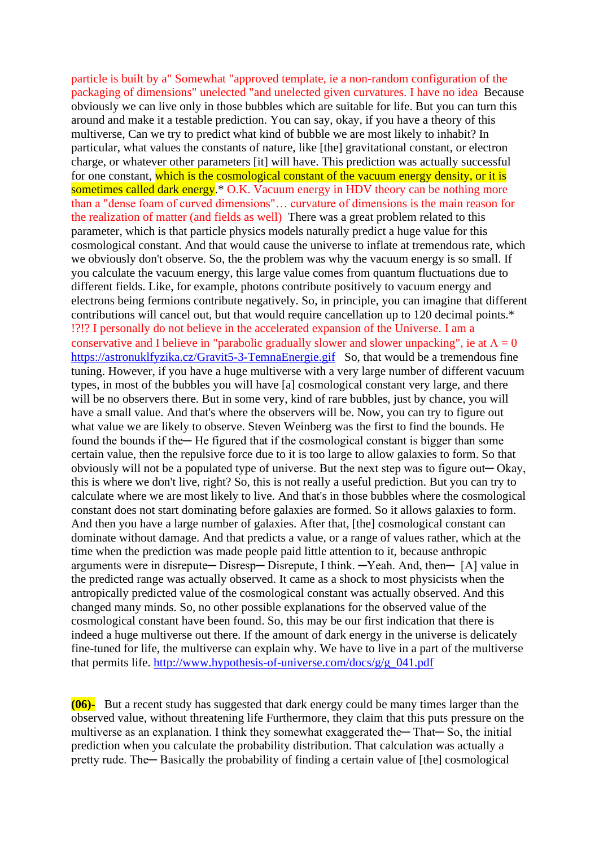particle is built by a" Somewhat "approved template, ie a non-random configuration of the packaging of dimensions" unelected "and unelected given curvatures. I have no idea Because obviously we can live only in those bubbles which are suitable for life. But you can turn this around and make it a testable prediction. You can say, okay, if you have a theory of this multiverse, Can we try to predict what kind of bubble we are most likely to inhabit? In particular, what values the constants of nature, like [the] gravitational constant, or electron charge, or whatever other parameters [it] will have. This prediction was actually successful for one constant, which is the cosmological constant of the vacuum energy density, or it is sometimes called dark energy.\* O.K. Vacuum energy in HDV theory can be nothing more than a "dense foam of curved dimensions"… curvature of dimensions is the main reason for the realization of matter (and fields as well) There was a great problem related to this parameter, which is that particle physics models naturally predict a huge value for this cosmological constant. And that would cause the universe to inflate at tremendous rate, which we obviously don't observe. So, the the problem was why the vacuum energy is so small. If you calculate the vacuum energy, this large value comes from quantum fluctuations due to different fields. Like, for example, photons contribute positively to vacuum energy and electrons being fermions contribute negatively. So, in principle, you can imagine that different contributions will cancel out, but that would require cancellation up to 120 decimal points.\* !?!? I personally do not believe in the accelerated expansion of the Universe. I am a conservative and I believe in "parabolic gradually slower and slower unpacking", ie at  $\Lambda = 0$ <https://astronuklfyzika.cz/Gravit5-3-TemnaEnergie.gif> So, that would be a tremendous fine tuning. However, if you have a huge multiverse with a very large number of different vacuum types, in most of the bubbles you will have [a] cosmological constant very large, and there will be no observers there. But in some very, kind of rare bubbles, just by chance, you will have a small value. And that's where the observers will be. Now, you can try to figure out what value we are likely to observe. Steven Weinberg was the first to find the bounds. He found the bounds if the — He figured that if the cosmological constant is bigger than some certain value, then the repulsive force due to it is too large to allow galaxies to form. So that obviously will not be a populated type of universe. But the next step was to figure out─ Okay, this is where we don't live, right? So, this is not really a useful prediction. But you can try to calculate where we are most likely to live. And that's in those bubbles where the cosmological constant does not start dominating before galaxies are formed. So it allows galaxies to form. And then you have a large number of galaxies. After that, [the] cosmological constant can dominate without damage. And that predicts a value, or a range of values rather, which at the time when the prediction was made people paid little attention to it, because anthropic arguments were in disrepute— Disresp— Disrepute, I think. —Yeah. And, then— [A] value in the predicted range was actually observed. It came as a shock to most physicists when the antropically predicted value of the cosmological constant was actually observed. And this changed many minds. So, no other possible explanations for the observed value of the cosmological constant have been found. So, this may be our first indication that there is indeed a huge multiverse out there. If the amount of dark energy in the universe is delicately fine-tuned for life, the multiverse can explain why. We have to live in a part of the multiverse that permits life. [http://www.hypothesis-of-universe.com/docs/g/g\\_041.pdf](http://www.hypothesis-of-universe.com/docs/g/g_041.pdf)

**(06)-** But a recent study has suggested that dark energy could be many times larger than the observed value, without threatening life Furthermore, they claim that this puts pressure on the multiverse as an explanation. I think they somewhat exaggerated the — That — So, the initial prediction when you calculate the probability distribution. That calculation was actually a pretty rude. The — Basically the probability of finding a certain value of [the] cosmological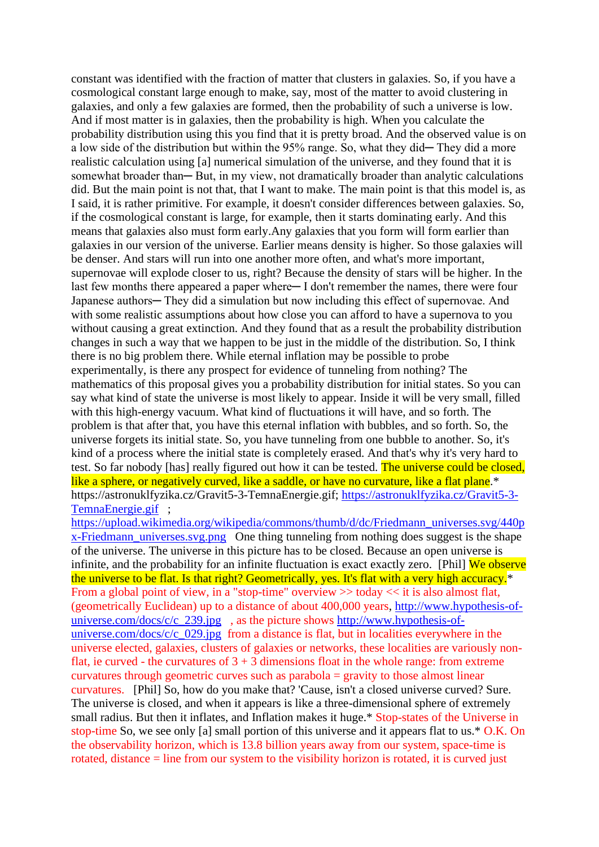constant was identified with the fraction of matter that clusters in galaxies. So, if you have a cosmological constant large enough to make, say, most of the matter to avoid clustering in galaxies, and only a few galaxies are formed, then the probability of such a universe is low. And if most matter is in galaxies, then the probability is high. When you calculate the probability distribution using this you find that it is pretty broad. And the observed value is on a low side of the distribution but within the 95% range. So, what they did—They did a more realistic calculation using [a] numerical simulation of the universe, and they found that it is somewhat broader than—But, in my view, not dramatically broader than analytic calculations did. But the main point is not that, that I want to make. The main point is that this model is, as I said, it is rather primitive. For example, it doesn't consider differences between galaxies. So, if the cosmological constant is large, for example, then it starts dominating early. And this means that galaxies also must form early.Any galaxies that you form will form earlier than galaxies in our version of the universe. Earlier means density is higher. So those galaxies will be denser. And stars will run into one another more often, and what's more important, supernovae will explode closer to us, right? Because the density of stars will be higher. In the last few months there appeared a paper where— I don't remember the names, there were four Japanese authors— They did a simulation but now including this effect of supernovae. And with some realistic assumptions about how close you can afford to have a supernova to you without causing a great extinction. And they found that as a result the probability distribution changes in such a way that we happen to be just in the middle of the distribution. So, I think there is no big problem there. While eternal inflation may be possible to probe experimentally, is there any prospect for evidence of tunneling from nothing? The mathematics of this proposal gives you a probability distribution for initial states. So you can say what kind of state the universe is most likely to appear. Inside it will be very small, filled with this high-energy vacuum. What kind of fluctuations it will have, and so forth. The problem is that after that, you have this eternal inflation with bubbles, and so forth. So, the universe forgets its initial state. So, you have tunneling from one bubble to another. So, it's kind of a process where the initial state is completely erased. And that's why it's very hard to test. So far nobody [has] really figured out how it can be tested. The universe could be closed, like a sphere, or negatively curved, like a saddle, or have no curvature, like a flat plane.\* https://astronuklfyzika.cz/Gravit5-3-TemnaEnergie.gif; [https://astronuklfyzika.cz/Gravit5-3-](https://astronuklfyzika.cz/Gravit5-3-TemnaEnergie.gif) [TemnaEnergie.gif](https://astronuklfyzika.cz/Gravit5-3-TemnaEnergie.gif) ;

[https://upload.wikimedia.org/wikipedia/commons/thumb/d/dc/Friedmann\\_universes.svg/440p](https://upload.wikimedia.org/wikipedia/commons/thumb/d/dc/Friedmann_universes.svg/440px-Friedmann_universes.svg.png) [x-Friedmann\\_universes.svg.png](https://upload.wikimedia.org/wikipedia/commons/thumb/d/dc/Friedmann_universes.svg/440px-Friedmann_universes.svg.png) One thing tunneling from nothing does suggest is the shape of the universe. The universe in this picture has to be closed. Because an open universe is infinite, and the probability for an infinite fluctuation is exact exactly zero. [Phil] We observe the universe to be flat. Is that right? Geometrically, yes. It's flat with a very high accuracy.\* From a global point of view, in a "stop-time" overview  $\gg$  today  $\ll$  it is also almost flat, (geometrically Euclidean) up to a distance of about 400,000 years, [http://www.hypothesis-of](http://www.hypothesis-of-universe.com/docs/c/c_239.jpg)[universe.com/docs/c/c\\_239.jpg](http://www.hypothesis-of-universe.com/docs/c/c_239.jpg) , as the picture shows [http://www.hypothesis-of](http://www.hypothesis-of-universe.com/docs/c/c_029.jpg)[universe.com/docs/c/c\\_029.jpg](http://www.hypothesis-of-universe.com/docs/c/c_029.jpg) from a distance is flat, but in localities everywhere in the universe elected, galaxies, clusters of galaxies or networks, these localities are variously nonflat, ie curved - the curvatures of  $3 + 3$  dimensions float in the whole range: from extreme curvatures through geometric curves such as parabola = gravity to those almost linear curvatures. [Phil] So, how do you make that? 'Cause, isn't a closed universe curved? Sure. The universe is closed, and when it appears is like a three-dimensional sphere of extremely small radius. But then it inflates, and Inflation makes it huge.\* Stop-states of the Universe in stop-time So, we see only [a] small portion of this universe and it appears flat to us.\* O.K. On the observability horizon, which is 13.8 billion years away from our system, space-time is rotated, distance = line from our system to the visibility horizon is rotated, it is curved just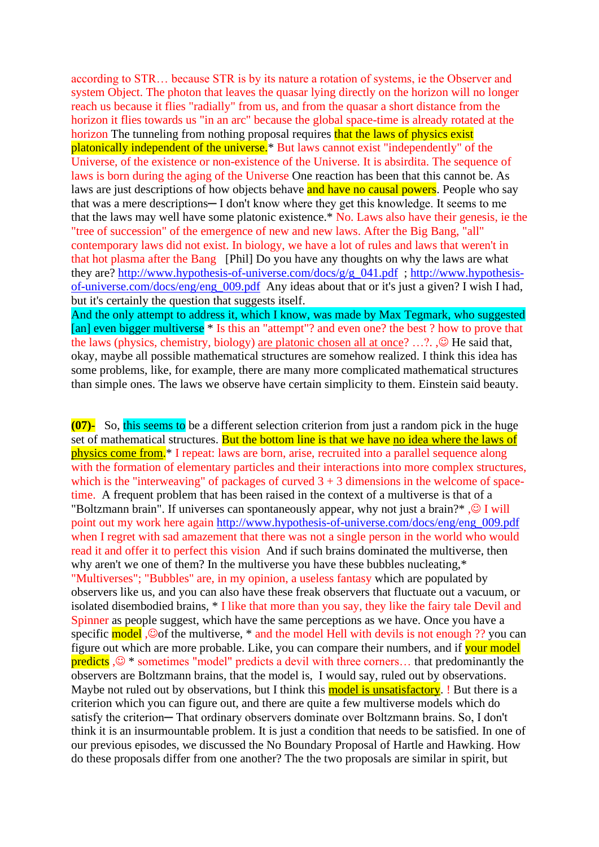according to STR… because STR is by its nature a rotation of systems, ie the Observer and system Object. The photon that leaves the quasar lying directly on the horizon will no longer reach us because it flies "radially" from us, and from the quasar a short distance from the horizon it flies towards us "in an arc" because the global space-time is already rotated at the horizon The tunneling from nothing proposal requires that the laws of physics exist platonically independent of the universe.\* But laws cannot exist "independently" of the Universe, of the existence or non-existence of the Universe. It is absirdita. The sequence of laws is born during the aging of the Universe One reaction has been that this cannot be. As laws are just descriptions of how objects behave and have no causal powers. People who say that was a mere descriptions— I don't know where they get this knowledge. It seems to me that the laws may well have some platonic existence.\* No. Laws also have their genesis, ie the "tree of succession" of the emergence of new and new laws. After the Big Bang, "all" contemporary laws did not exist. In biology, we have a lot of rules and laws that weren't in that hot plasma after the Bang [Phil] Do you have any thoughts on why the laws are what they are? [http://www.hypothesis-of-universe.com/docs/g/g\\_041.pdf](http://www.hypothesis-of-universe.com/docs/g/g_041.pdf) ; [http://www.hypothesis](http://www.hypothesis-of-universe.com/docs/eng/eng_009.pdf)[of-universe.com/docs/eng/eng\\_009.pdf](http://www.hypothesis-of-universe.com/docs/eng/eng_009.pdf) Any ideas about that or it's just a given? I wish I had, but it's certainly the question that suggests itself.

And the only attempt to address it, which I know, was made by Max Tegmark, who suggested [an] even bigger multiverse \* Is this an "attempt"? and even one? the best ? how to prove that the laws (physics, chemistry, biology) are platonic chosen all at once? ...?. , $\odot$  He said that, okay, maybe all possible mathematical structures are somehow realized. I think this idea has some problems, like, for example, there are many more complicated mathematical structures than simple ones. The laws we observe have certain simplicity to them. Einstein said beauty.

**(07)-** So, this seems to be a different selection criterion from just a random pick in the huge set of mathematical structures. But the bottom line is that we have no idea where the laws of physics come from.\* I repeat: laws are born, arise, recruited into a parallel sequence along with the formation of elementary particles and their interactions into more complex structures, which is the "interweaving" of packages of curved  $3 + 3$  dimensions in the welcome of spacetime. A frequent problem that has been raised in the context of a multiverse is that of a "Boltzmann brain". If universes can spontaneously appear, why not just a brain?\*,  $\odot$  I will point out my work here again [http://www.hypothesis-of-universe.com/docs/eng/eng\\_009.pdf](http://www.hypothesis-of-universe.com/docs/eng/eng_009.pdf)  when I regret with sad amazement that there was not a single person in the world who would read it and offer it to perfect this vision And if such brains dominated the multiverse, then why aren't we one of them? In the multiverse you have these bubbles nucleating,\* "Multiverses"; "Bubbles" are, in my opinion, a useless fantasy which are populated by observers like us, and you can also have these freak observers that fluctuate out a vacuum, or isolated disembodied brains, \* I like that more than you say, they like the fairy tale Devil and Spinner as people suggest, which have the same perceptions as we have. Once you have a specific model,  $\odot$  of the multiverse, \* and the model Hell with devils is not enough ?? you can figure out which are more probable. Like, you can compare their numbers, and if your model predicts ,☺ \* sometimes "model" predicts a devil with three corners... that predominantly the observers are Boltzmann brains, that the model is, I would say, ruled out by observations. Maybe not ruled out by observations, but I think this model is unsatisfactory. ! But there is a criterion which you can figure out, and there are quite a few multiverse models which do satisfy the criterion-That ordinary observers dominate over Boltzmann brains. So, I don't think it is an insurmountable problem. It is just a condition that needs to be satisfied. In one of our previous episodes, we discussed the No Boundary Proposal of Hartle and Hawking. How do these proposals differ from one another? The the two proposals are similar in spirit, but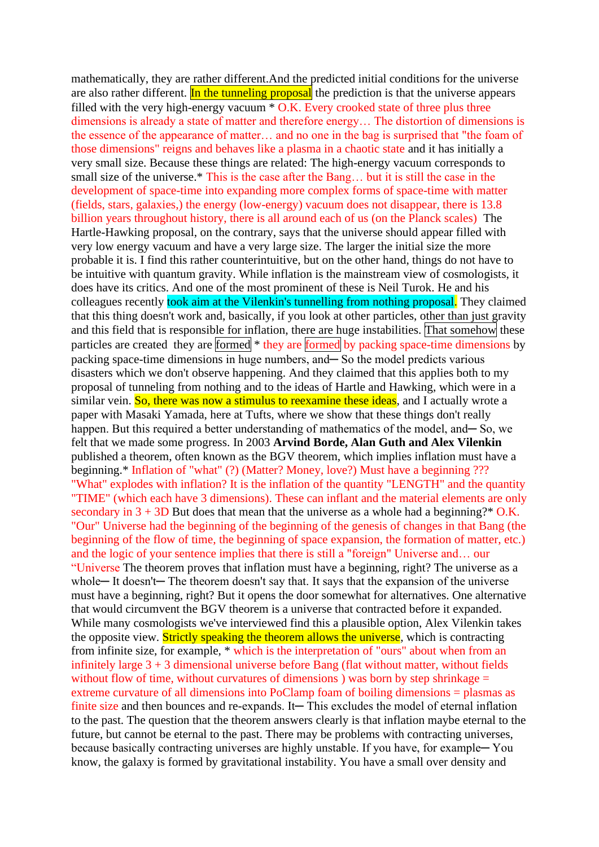mathematically, they are rather different.And the predicted initial conditions for the universe are also rather different. In the tunneling proposal the prediction is that the universe appears filled with the very high-energy vacuum  $*$  O.K. Every crooked state of three plus three dimensions is already a state of matter and therefore energy… The distortion of dimensions is the essence of the appearance of matter… and no one in the bag is surprised that "the foam of those dimensions" reigns and behaves like a plasma in a chaotic state and it has initially a very small size. Because these things are related: The high-energy vacuum corresponds to small size of the universe.\* This is the case after the Bang... but it is still the case in the development of space-time into expanding more complex forms of space-time with matter (fields, stars, galaxies,) the energy (low-energy) vacuum does not disappear, there is 13.8 billion years throughout history, there is all around each of us (on the Planck scales) The Hartle-Hawking proposal, on the contrary, says that the universe should appear filled with very low energy vacuum and have a very large size. The larger the initial size the more probable it is. I find this rather counterintuitive, but on the other hand, things do not have to be intuitive with quantum gravity. While inflation is the mainstream view of cosmologists, it does have its critics. And one of the most prominent of these is Neil Turok. He and his colleagues recently took aim at the Vilenkin's tunnelling from nothing proposal. They claimed that this thing doesn't work and, basically, if you look at other particles, other than just gravity and this field that is responsible for inflation, there are huge instabilities. That somehow these particles are created they are formed \* they are formed by packing space-time dimensions by packing space-time dimensions in huge numbers, and—So the model predicts various disasters which we don't observe happening. And they claimed that this applies both to my proposal of tunneling from nothing and to the ideas of Hartle and Hawking, which were in a similar vein. So, there was now a stimulus to reexamine these ideas, and I actually wrote a paper with Masaki Yamada, here at Tufts, where we show that these things don't really happen. But this required a better understanding of mathematics of the model, and—So, we felt that we made some progress. In 2003 **Arvind Borde, Alan Guth and Alex Vilenkin** published a theorem, often known as the BGV theorem, which implies inflation must have a beginning.\* Inflation of "what" (?) (Matter? Money, love?) Must have a beginning ??? "What" explodes with inflation? It is the inflation of the quantity "LENGTH" and the quantity "TIME" (which each have 3 dimensions). These can inflant and the material elements are only secondary in  $3 + 3D$  But does that mean that the universe as a whole had a beginning?\* O.K. "Our" Universe had the beginning of the beginning of the genesis of changes in that Bang (the beginning of the flow of time, the beginning of space expansion, the formation of matter, etc.) and the logic of your sentence implies that there is still a "foreign" Universe and… our "Universe The theorem proves that inflation must have a beginning, right? The universe as a whole— It doesn't— The theorem doesn't say that. It says that the expansion of the universe must have a beginning, right? But it opens the door somewhat for alternatives. One alternative that would circumvent the BGV theorem is a universe that contracted before it expanded. While many cosmologists we've interviewed find this a plausible option, Alex Vilenkin takes the opposite view. Strictly speaking the theorem allows the universe, which is contracting from infinite size, for example, \* which is the interpretation of "ours" about when from an infinitely large  $3 + 3$  dimensional universe before Bang (flat without matter, without fields without flow of time, without curvatures of dimensions ) was born by step shrinkage  $=$ extreme curvature of all dimensions into PoClamp foam of boiling dimensions = plasmas as finite size and then bounces and re-expands. It— This excludes the model of eternal inflation to the past. The question that the theorem answers clearly is that inflation maybe eternal to the future, but cannot be eternal to the past. There may be problems with contracting universes, because basically contracting universes are highly unstable. If you have, for example— You know, the galaxy is formed by gravitational instability. You have a small over density and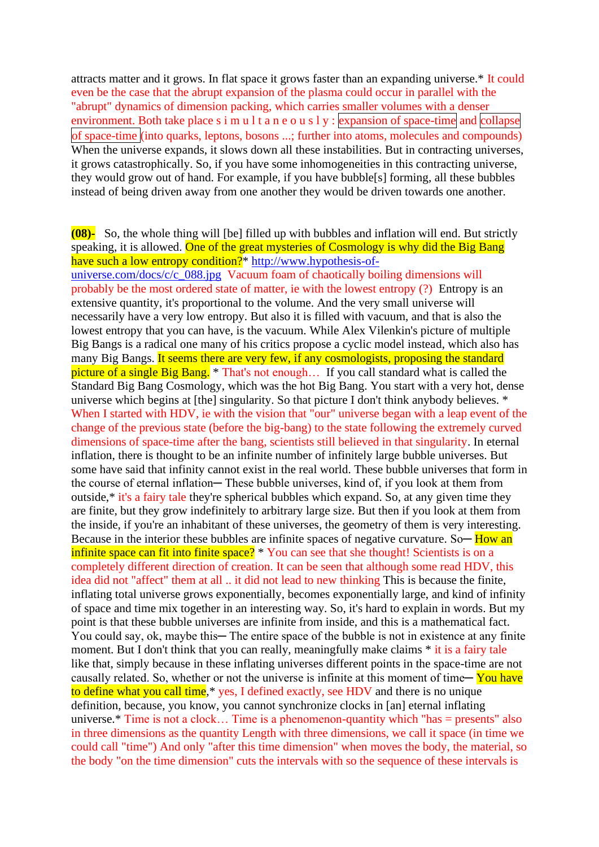attracts matter and it grows. In flat space it grows faster than an expanding universe.\* It could even be the case that the abrupt expansion of the plasma could occur in parallel with the "abrupt" dynamics of dimension packing, which carries smaller volumes with a denser environment. Both take place s i m u l t a n e o u s l y : expansion of space-time and collapse of space-time (into quarks, leptons, bosons ...; further into atoms, molecules and compounds) When the universe expands, it slows down all these instabilities. But in contracting universes, it grows catastrophically. So, if you have some inhomogeneities in this contracting universe, they would grow out of hand. For example, if you have bubble[s] forming, all these bubbles instead of being driven away from one another they would be driven towards one another.

## **(08)-** So, the whole thing will [be] filled up with bubbles and inflation will end. But strictly speaking, it is allowed. One of the great mysteries of Cosmology is why did the Big Bang have such a low entropy condition?<sup>\*</sup> [http://www.hypothesis-of-](http://www.hypothesis-of-universe.com/docs/c/c_088.jpg)

[universe.com/docs/c/c\\_088.jpg](http://www.hypothesis-of-universe.com/docs/c/c_088.jpg) Vacuum foam of chaotically boiling dimensions will probably be the most ordered state of matter, ie with the lowest entropy (?) Entropy is an extensive quantity, it's proportional to the volume. And the very small universe will necessarily have a very low entropy. But also it is filled with vacuum, and that is also the lowest entropy that you can have, is the vacuum. While Alex Vilenkin's picture of multiple Big Bangs is a radical one many of his critics propose a cyclic model instead, which also has many Big Bangs. It seems there are very few, if any cosmologists, proposing the standard picture of a single Big Bang. \* That's not enough... If you call standard what is called the Standard Big Bang Cosmology, which was the hot Big Bang. You start with a very hot, dense universe which begins at [the] singularity. So that picture I don't think anybody believes. \* When I started with HDV, ie with the vision that "our" universe began with a leap event of the change of the previous state (before the big-bang) to the state following the extremely curved dimensions of space-time after the bang, scientists still believed in that singularity. In eternal inflation, there is thought to be an infinite number of infinitely large bubble universes. But some have said that infinity cannot exist in the real world. These bubble universes that form in the course of eternal inflation— These bubble universes, kind of, if you look at them from outside,\* it's a fairy tale they're spherical bubbles which expand. So, at any given time they are finite, but they grow indefinitely to arbitrary large size. But then if you look at them from the inside, if you're an inhabitant of these universes, the geometry of them is very interesting. Because in the interior these bubbles are infinite spaces of negative curvature. So— How an infinite space can fit into finite space? \* You can see that she thought! Scientists is on a completely different direction of creation. It can be seen that although some read HDV, this idea did not "affect" them at all .. it did not lead to new thinking This is because the finite, inflating total universe grows exponentially, becomes exponentially large, and kind of infinity of space and time mix together in an interesting way. So, it's hard to explain in words. But my point is that these bubble universes are infinite from inside, and this is a mathematical fact. You could say, ok, maybe this— The entire space of the bubble is not in existence at any finite moment. But I don't think that you can really, meaningfully make claims  $*$  it is a fairy tale like that, simply because in these inflating universes different points in the space-time are not causally related. So, whether or not the universe is infinite at this moment of time — You have to define what you call time,\* yes, I defined exactly, see HDV and there is no unique definition, because, you know, you cannot synchronize clocks in [an] eternal inflating universe.\* Time is not a clock… Time is a phenomenon-quantity which "has = presents" also in three dimensions as the quantity Length with three dimensions, we call it space (in time we could call "time") And only "after this time dimension" when moves the body, the material, so the body "on the time dimension" cuts the intervals with so the sequence of these intervals is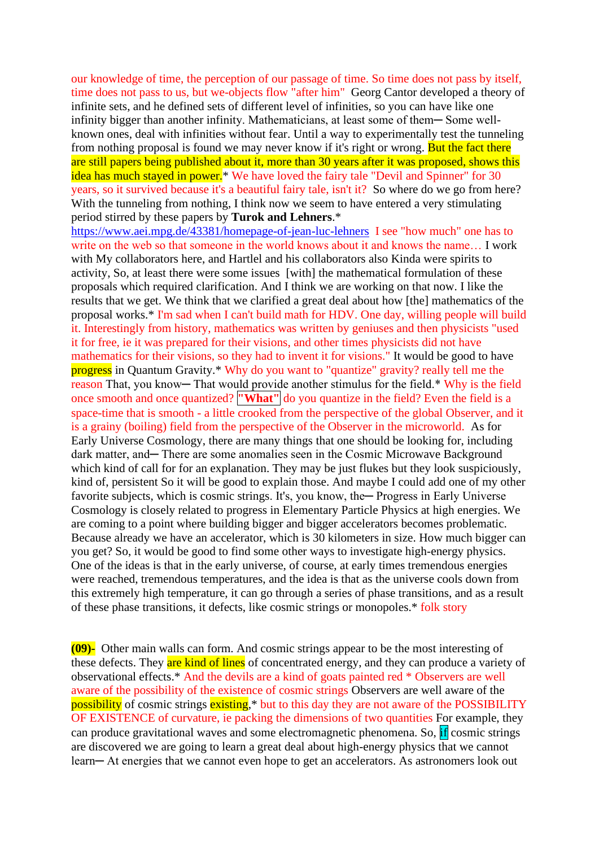our knowledge of time, the perception of our passage of time. So time does not pass by itself, time does not pass to us, but we-objects flow "after him" Georg Cantor developed a theory of infinite sets, and he defined sets of different level of infinities, so you can have like one infinity bigger than another infinity. Mathematicians, at least some of them— Some wellknown ones, deal with infinities without fear. Until a way to experimentally test the tunneling from nothing proposal is found we may never know if it's right or wrong. But the fact there are still papers being published about it, more than 30 years after it was proposed, shows this idea has much stayed in power.<sup>\*</sup> We have loved the fairy tale "Devil and Spinner" for 30 years, so it survived because it's a beautiful fairy tale, isn't it? So where do we go from here? With the tunneling from nothing, I think now we seem to have entered a very stimulating period stirred by these papers by **Turok and Lehners**.\*

<https://www.aei.mpg.de/43381/homepage-of-jean-luc-lehners>I see "how much" one has to write on the web so that someone in the world knows about it and knows the name... I work with My collaborators here, and Hartlel and his collaborators also Kinda were spirits to activity, So, at least there were some issues [with] the mathematical formulation of these proposals which required clarification. And I think we are working on that now. I like the results that we get. We think that we clarified a great deal about how [the] mathematics of the proposal works.\* I'm sad when I can't build math for HDV. One day, willing people will build it. Interestingly from history, mathematics was written by geniuses and then physicists "used it for free, ie it was prepared for their visions, and other times physicists did not have mathematics for their visions, so they had to invent it for visions." It would be good to have progress in Quantum Gravity.\* Why do you want to "quantize" gravity? really tell me the reason That, you know— That would provide another stimulus for the field.\* Why is the field once smooth and once quantized? **"What"** do you quantize in the field? Even the field is a space-time that is smooth - a little crooked from the perspective of the global Observer, and it is a grainy (boiling) field from the perspective of the Observer in the microworld. As for Early Universe Cosmology, there are many things that one should be looking for, including dark matter, and— There are some anomalies seen in the Cosmic Microwave Background which kind of call for for an explanation. They may be just flukes but they look suspiciously, kind of, persistent So it will be good to explain those. And maybe I could add one of my other favorite subjects, which is cosmic strings. It's, you know, the — Progress in Early Universe Cosmology is closely related to progress in Elementary Particle Physics at high energies. We are coming to a point where building bigger and bigger accelerators becomes problematic. Because already we have an accelerator, which is 30 kilometers in size. How much bigger can you get? So, it would be good to find some other ways to investigate high-energy physics. One of the ideas is that in the early universe, of course, at early times tremendous energies were reached, tremendous temperatures, and the idea is that as the universe cools down from this extremely high temperature, it can go through a series of phase transitions, and as a result of these phase transitions, it defects, like cosmic strings or monopoles.\* folk story

**(09)-** Other main walls can form. And cosmic strings appear to be the most interesting of these defects. They are kind of lines of concentrated energy, and they can produce a variety of observational effects.\* And the devils are a kind of goats painted red \* Observers are well aware of the possibility of the existence of cosmic strings Observers are well aware of the possibility of cosmic strings existing,<sup>\*</sup> but to this day they are not aware of the POSSIBILITY OF EXISTENCE of curvature, ie packing the dimensions of two quantities For example, they can produce gravitational waves and some electromagnetic phenomena. So, if cosmic strings are discovered we are going to learn a great deal about high-energy physics that we cannot learn— At energies that we cannot even hope to get an accelerators. As astronomers look out